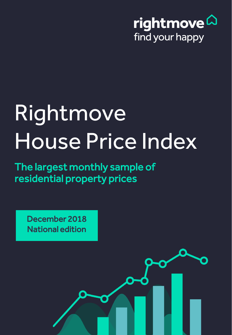

# Rightmove House Price Index

The largest monthly sample of residential property prices

> Copyright © 2018, Rightmove plc. Released 17th December. For media enquiries and interviews please contact the Rightmove press office: T | 020 7087 0605 M | 07894 255295 or E | amy.funston@rightmove.co.uk

December 2018 National edition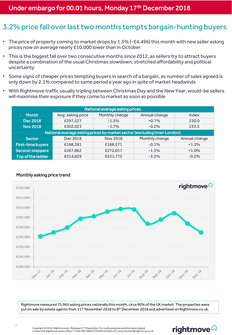#### 3.2% price fall over last two months tempts bargain-hunting buyers

- The price of property coming to market drops by 1.5% (-£4,496) this month with new seller asking prices now on average nearly £10,000 lower than in October
- This is the biggest fall over two consecutive months since 2012, as sellers try to attract buyers despite a combination of the usual Christmas slowdown, stretched affordability and political uncertainty
- Some signs of cheaper prices tempting buyers in search of a bargain, as number of sales agreed is only down by 2.1% compared to same period a year ago in spite of market headwinds
- With Rightmove traffic usually tripling between Christmas Day and the New Year, would-be sellers will maximise their exposure if they come to market as soon as possible

| National average asking prices                                           |                   |                 |                |               |  |
|--------------------------------------------------------------------------|-------------------|-----------------|----------------|---------------|--|
| <b>Month</b>                                                             | Avg. asking price | Monthly change  | Annual change  | Index         |  |
| <b>Dec 2018</b>                                                          | £297,527          | $-1.5%$         | $+0.7%$        | 230.0         |  |
| <b>Nov 2018</b>                                                          | £302,023          | $-1.7%$         | $-0.2%$        | 233.5         |  |
| National average asking prices by market sector (excluding Inner London) |                   |                 |                |               |  |
| <b>Sector</b>                                                            | Dec 2018          | <b>Nov 2018</b> | Monthly change | Annual change |  |
| <b>First-time buyers</b>                                                 | £188,381          | £188,571        | $-0.1%$        | $+1.3%$       |  |
| Second-steppers                                                          | £267,862          | £272,017        | $-1.5%$        | $+1.0%$       |  |
| Top of the ladder                                                        | £514,829          | £531,775        | $-3.2%$        | $-0.2\%$      |  |



#### Monthly asking price trend

Rightmove measured 75,965 asking prices nationally this month, circa 90% of the UK market. The properties were put on sale by estate agents from 11<sup>th</sup> November 2018 to 8<sup>th</sup> December 2018 and advertised on Rightmove.co.uk.

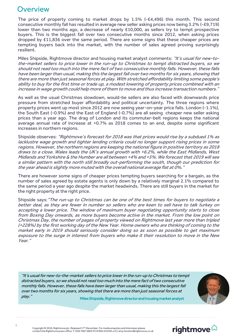### **Overview**

The price of property coming to market drops by 1.5% (-£4,496) this month. This second consecutive monthly fall has resulted in average new seller asking prices now being 3.2% (-£9,719) lower than two months ago, a decrease of nearly £10,000, as sellers try to tempt prospective buyers. This is the biggest fall over two consecutive months since 2012, when asking prices dropped by £11,836 over the same period. There are some signs that these cheaper prices are tempting buyers back into the market, with the number of sales agreed proving surprisingly resilient.

Miles Shipside, Rightmove director and housing market analyst comments: "It's usual for new-tothe-market sellers to price lower in the run-up to Christmas to tempt distracted buyers, so we should not read too much into the mere fact of two consecutive monthly falls. However, these falls have been larger than usual, making this the largest fall over two months for six years, showing that there are more than just seasonal forces at play. With stretched affordability limiting some people's ability to buy for the first time or trade up, <sup>a</sup> modest lowering of property prices combined with an increase in wage growth could help more ofthem to move and thus increase transaction numbers."

As well as the usual Christmas slowdown, would-be sellers are also faced with downwards price pressure from stretched buyer affordability and political uncertainty. The three regions where property prices went up most since 2012 are now seeing year-on-year price falls. London (-1.1%), the South East (-0.9%) and the East of England (-0.7%) are all seeing cheaper new seller asking prices than a year ago. The drag of London and its commuter-belt regions keeps the national average annual rate of increase at +0.7% as 2018 comes to an end, despite some significant increases in northern regions.

Shipside observes: "Rightmove's forecast for 2018 was that prices would rise by a subdued 1% as lacklustre wage growth and tighter lending criteria could no longer support rising prices in some regions. However, the northern regions are keeping the national figure in positive territory as 2018 draws to <sup>a</sup> close. Wales leads the UK's annual growth with +6.2%, while the East Midlands, West Midlands and Yorkshire & the Humber are all between +4% and +5%. We forecast that 2019 will see <sup>a</sup> similar pattern with the north still broadly out-performing the south, though our prediction for the year ahead is slightly more muted with the overall national average flat at 0%."

There are however some signs of cheaper prices tempting buyers searching for a bargain, as the number of sales agreed by estate agents is only down by a relatively marginal 2.1% compared to the same period a year ago despite the market headwinds. There are still buyers in the market for the right property at the right price.

Shipside says: "The run-up to Christmas can be one of the best times for buyers to negotiate a better deal, as they are fewer in number so sellers who are keen to sell have to talk turkey on accepting <sup>a</sup> lower price. The window of maximum buyer negotiating opportunity starts to close from Boxing Day onwards, as more buyers become active in the market. From the low point on Christmas Day, the number of pages of property viewed on Rightmove last year more than tripled (+228%) by the first working day of the New Year. Home owners who are thinking of coming to the market early in 2019 should seriously consider doing so as soon as possible to get maximum exposure to the surge in interest from buyers who make it their resolution to move in the New Year."

"It's usual for new-to-the-market sellers to price lower in the run-up to Christmas to tempt distracted buyers, so we should not read too much into the mere fact of two consecutive monthly falls. However, these falls have been larger than usual, making this the largest fall over two months for six years, showing that there are more than just seasonal forces at play." Miles Shipside, Rightmove director and housing market analyst



## rightmove $\vartriangle$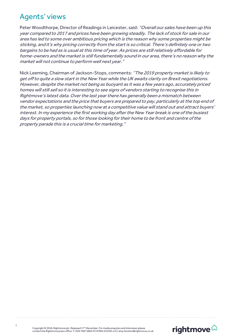### Agents' views

Peter Woodthorpe, Director of Readings in Leicester, said: "Overall our sales have been up this year compared to 2017 and prices have been growing steadily. The lack of stock for sale in our area has led to some over ambitious pricing which is the reason why some properties might be sticking, and it's why pricing correctly from the start is so critical. There's definitely one or two bargains to be had as is usual at this time of year. As prices are still relatively affordable for home-owners and the market is still fundamentally sound in our area, there's no reason why the market will not continue to perform well next year."

Nick Leeming, Chairman of Jackson-Stops, comments: "The 2019 property market is likely to get off to quite a slow start in the New Year while the UK awaits clarity on Brexit negotiations. However, despite the market not being as buoyant as it was a few years ago, accurately priced homes will still sell so it is interesting to see signs of vendors starting to recognise this in Rightmove's latest data. Over the last year there has generally been a mismatch between vendor expectations and the price that buyers are prepared to pay, particularly at the top end of the market, so properties launching now at a competitive value will stand out and attract buyers' interest. In my experience the first working day after the New Year break is one of the busiest days for property portals, so for those looking for their home to be front and centre of the property parade this is a crucial time for marketing."

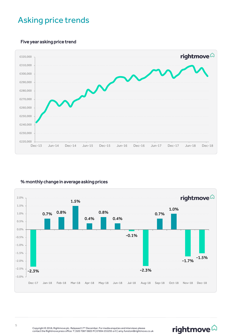## Asking price trends

#### Five year asking price trend



#### % monthly change in average asking prices



rightmove $\widehat{\omega}$ 

Copyright © 2018, Rightmove plc. Released 17<sup>th</sup> December. For media enquiries and interviews please<br>contact the Rightmove press office: T | 020 7087 0605 M | 07894 255295 or E | amy.funston@rightmove.co.uk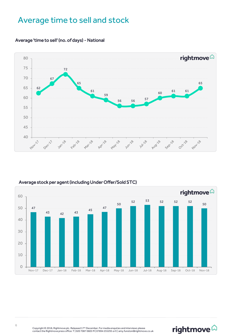## Average time to sell and stock



#### Average 'time to sell' (no. of days) - National

![](_page_5_Figure_3.jpeg)

#### Average stock per agent (including Under Offer/Sold STC)

# rightmove<sup>2</sup>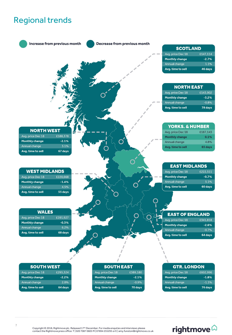## Regional trends

![](_page_6_Figure_1.jpeg)

## rightmove<sup>2</sup>

Copyright © 2018, Rightmove plc. Released 17<sup>th</sup> December. For media enquiries and interviews please<br>contact the Rightmove press office: T | 020 7087 0605 M | 07894 255295 or E | amy.funston@rightmove.co.uk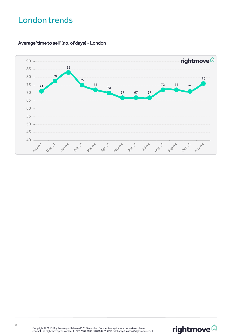## London trends

Average 'time to sell' (no. of days) - London

![](_page_7_Figure_2.jpeg)

![](_page_7_Picture_4.jpeg)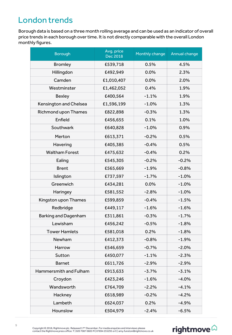# London trends

Borough data is based on a three month rolling average and can be used as an indicator of overall price trends in each borough over time. It is not directly comparable with the overall London monthly figures.

| <b>Borough</b>              | Avg. price<br><b>Dec 2018</b> | Monthly change | <b>Annual change</b> |
|-----------------------------|-------------------------------|----------------|----------------------|
| <b>Bromley</b>              | £539,718                      | 0.5%           | 4.5%                 |
| Hillingdon                  | £492,949                      | 0.0%           | 2.3%                 |
| Camden                      | £1,010,407                    | 0.0%           | 2.0%                 |
| Westminster                 | £1,462,052                    | 0.4%           | 1.9%                 |
| <b>Bexley</b>               | £400,564                      | $-1.1%$        | 1.9%                 |
| Kensington and Chelsea      | £1,596,199                    | $-1.0%$        | 1.3%                 |
| <b>Richmond upon Thames</b> | £822,898                      | $-0.3%$        | 1.3%                 |
| Enfield                     | £456,655                      | 0.1%           | 1.0%                 |
| Southwark                   | £640,828                      | $-1.0%$        | 0.9%                 |
| Merton                      | £613,371                      | $-0.2%$        | 0.5%                 |
| Havering                    | £405,385                      | $-0.4%$        | 0.5%                 |
| <b>Waltham Forest</b>       | £475,632                      | $-0.4%$        | 0.2%                 |
| Ealing                      | £545,305                      | $-0.2%$        | $-0.2%$              |
| <b>Brent</b>                | £565,669                      | $-1.9%$        | $-0.8%$              |
| Islington                   | £737,597                      | $-1.7%$        | $-1.0%$              |
| Greenwich                   | £434,281                      | 0.0%           | $-1.0%$              |
| Haringey                    | £581,552                      | $-2.8%$        | $-1.0%$              |
| Kingston upon Thames        | £599,859                      | $-0.4%$        | $-1.5%$              |
| Redbridge                   | £449,117                      | $-1.6%$        | $-1.6%$              |
| <b>Barking and Dagenham</b> | £311,861                      | $-0.3%$        | $-1.7%$              |
| Lewisham                    | £456,242                      | $-0.5%$        | $-1.8%$              |
| <b>Tower Hamlets</b>        | £581,018                      | 0.2%           | $-1.8%$              |
| Newham                      | £412,373                      | $-0.8%$        | $-1.9%$              |
| Harrow                      | £546,659                      | $-0.7%$        | $-2.0%$              |
| Sutton                      | £450,077                      | $-1.1%$        | $-2.3%$              |
| <b>Barnet</b>               | £611,726                      | $-2.9%$        | $-2.9%$              |
| Hammersmith and Fulham      | £913,633                      | $-3.7%$        | $-3.1%$              |
| Croydon                     | £423,246                      | $-1.6%$        | $-4.0%$              |
| Wandsworth                  | £764,709                      | $-2.2%$        | $-4.1%$              |
| Hackney                     | £618,989                      | $-0.2%$        | $-4.2%$              |
| Lambeth                     | £624,037                      | 0.2%           | $-4.9%$              |
| Hounslow                    | £504,979                      | $-2.4%$        | $-6.5%$              |

Copyright © 2018, Rightmove plc. Released 17<sup>th</sup> December. For media enquiries and interviews please<br>contact the Rightmove press office: T | 020 7087 0605 M | 07894 255295 or E | amy.funston@rightmove.co.uk

# rightmove $\hat{\omega}$